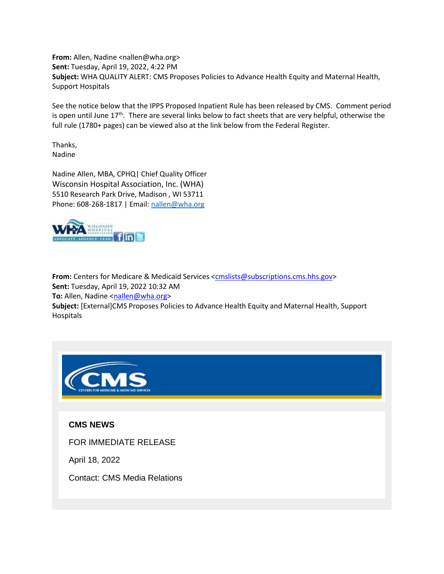**From:** Allen, Nadine <nallen@wha.org> **Sent:** Tuesday, April 19, 2022, 4:22 PM **Subject:** WHA QUALITY ALERT: CMS Proposes Policies to Advance Health Equity and Maternal Health, Support Hospitals

See the notice below that the IPPS Proposed Inpatient Rule has been released by CMS. Comment period is open until June 17<sup>th</sup>. There are several links below to fact sheets that are very helpful, otherwise the full rule (1780+ pages) can be viewed also at the link below from the Federal Register.

Thanks, Nadine

Nadine Allen, MBA, CPHQ| Chief Quality Officer Wisconsin Hospital Association, Inc. (WHA) 5510 Research Park Drive, Madison , WI 53711 Phone: 608-268-1817 | Email: [nallen@wha.org](mailto:nallen@wha.org)



**From:** Centers for Medicare & Medicaid Services [<cmslists@subscriptions.cms.hhs.gov>](mailto:cmslists@subscriptions.cms.hhs.gov) **Sent:** Tuesday, April 19, 2022 10:32 AM **To:** Allen, Nadine [<nallen@wha.org>](mailto:nallen@wha.org) **Subject:** [External]CMS Proposes Policies to Advance Health Equity and Maternal Health, Support Hospitals



**CMS NEWS**

FOR IMMEDIATE RELEASE

April 18, 2022

Contact: CMS Media Relations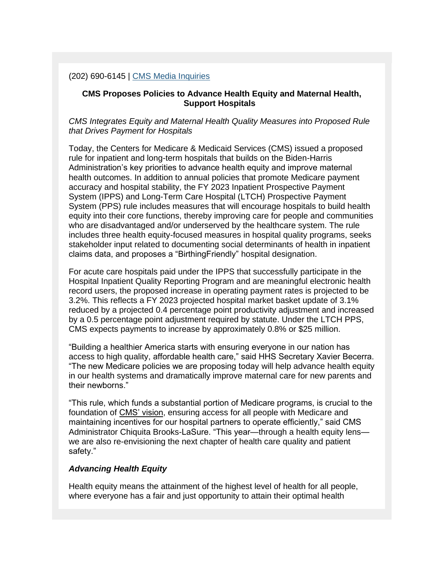(202) 690-6145 | [CMS Media Inquiries](https://lnks.gd/l/eyJhbGciOiJIUzI1NiJ9.eyJidWxsZXRpbl9saW5rX2lkIjoxMDAsInVyaSI6ImJwMjpjbGljayIsImJ1bGxldGluX2lkIjoiMjAyMjA0MTkuNTY2NDIzNDEiLCJ1cmwiOiJodHRwczovL2djYzAyLnNhZmVsaW5rcy5wcm90ZWN0aW9uLm91dGxvb2suY29tLz91cmw9aHR0cHMlM0ElMkYlMkZ3d3cuY21zLmdvdiUyRm5ld3Nyb29tJTJGbWVkaWEtaW5xdWlyaWVzJmRhdGE9MDQlN0MwMSU3Q0ppbGwuRGFybGluZyU0MGNtcy5oaHMuZ292JTdDZDQxM2NlYTc2ODI0NGY2OTdmN2YwOGRhMjE4OWExMGMlN0NkNThhZGRlYTUwNTM0YTgwODQ5OWJhNGQ5NDQ5MTBkZiU3QzAlN0MwJTdDNjM3ODU5MTcyMjU2MzI4MzEzJTdDVW5rbm93biU3Q1RXRnBiR1pzYjNkOGV5SldJam9pTUM0d0xqQXdNREFpTENKUUlqb2lWMmx1TXpJaUxDSkJUaUk2SWsxaGFXd2lMQ0pYVkNJNk1uMCUzRCU3QzMwMDAmc2RhdGE9YkVOclR0JTJGTmtkTWJmZ1pDVXdVQXdmQTRjcDdZVjF2bDRNdUZON1NMSENVJTNEJnJlc2VydmVkPTAifQ.5BJRJ9MGmfOytX-qO9ESR-TJIMNvWwyDBoIdcSCX3fA/s/1259309421/br/130018250106-l)

# **CMS Proposes Policies to Advance Health Equity and Maternal Health, Support Hospitals**

*CMS Integrates Equity and Maternal Health Quality Measures into Proposed Rule that Drives Payment for Hospitals*

Today, the Centers for Medicare & Medicaid Services (CMS) issued a proposed rule for inpatient and long-term hospitals that builds on the Biden-Harris Administration's key priorities to advance health equity and improve maternal health outcomes. In addition to annual policies that promote Medicare payment accuracy and hospital stability, the FY 2023 Inpatient Prospective Payment System (IPPS) and Long-Term Care Hospital (LTCH) Prospective Payment System (PPS) rule includes measures that will encourage hospitals to build health equity into their core functions, thereby improving care for people and communities who are disadvantaged and/or underserved by the healthcare system. The rule includes three health equity-focused measures in hospital quality programs, seeks stakeholder input related to documenting social determinants of health in inpatient claims data, and proposes a "BirthingFriendly" hospital designation.

For acute care hospitals paid under the IPPS that successfully participate in the Hospital Inpatient Quality Reporting Program and are meaningful electronic health record users, the proposed increase in operating payment rates is projected to be 3.2%. This reflects a FY 2023 projected hospital market basket update of 3.1% reduced by a projected 0.4 percentage point productivity adjustment and increased by a 0.5 percentage point adjustment required by statute. Under the LTCH PPS, CMS expects payments to increase by approximately 0.8% or \$25 million.

"Building a healthier America starts with ensuring everyone in our nation has access to high quality, affordable health care," said HHS Secretary Xavier Becerra. "The new Medicare policies we are proposing today will help advance health equity in our health systems and dramatically improve maternal care for new parents and their newborns."

"This rule, which funds a substantial portion of Medicare programs, is crucial to the foundation of CMS' vision, ensuring access for all people with Medicare and maintaining incentives for our hospital partners to operate efficiently," said CMS Administrator Chiquita Brooks-LaSure. "This year—through a health equity lens we are also re-envisioning the next chapter of health care quality and patient safety."

## *Advancing Health Equity*

Health equity means the attainment of the highest level of health for all people, where everyone has a fair and just opportunity to attain their optimal health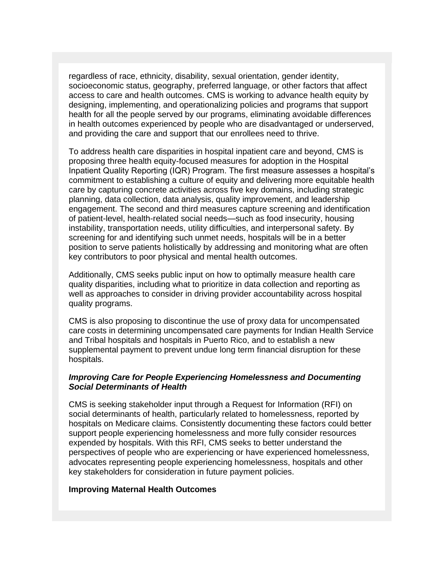regardless of race, ethnicity, disability, sexual orientation, gender identity, socioeconomic status, geography, preferred language, or other factors that affect access to care and health outcomes. CMS is working to advance health equity by designing, implementing, and operationalizing policies and programs that support health for all the people served by our programs, eliminating avoidable differences in health outcomes experienced by people who are disadvantaged or underserved, and providing the care and support that our enrollees need to thrive.

To address health care disparities in hospital inpatient care and beyond, CMS is proposing three health equity-focused measures for adoption in the Hospital Inpatient Quality Reporting (IQR) Program. The first measure assesses a hospital's commitment to establishing a culture of equity and delivering more equitable health care by capturing concrete activities across five key domains, including strategic planning, data collection, data analysis, quality improvement, and leadership engagement. The second and third measures capture screening and identification of patient-level, health-related social needs—such as food insecurity, housing instability, transportation needs, utility difficulties, and interpersonal safety. By screening for and identifying such unmet needs, hospitals will be in a better position to serve patients holistically by addressing and monitoring what are often key contributors to poor physical and mental health outcomes.

Additionally, CMS seeks public input on how to optimally measure health care quality disparities, including what to prioritize in data collection and reporting as well as approaches to consider in driving provider accountability across hospital quality programs.

CMS is also proposing to discontinue the use of proxy data for uncompensated care costs in determining uncompensated care payments for Indian Health Service and Tribal hospitals and hospitals in Puerto Rico, and to establish a new supplemental payment to prevent undue long term financial disruption for these hospitals.

# *Improving Care for People Experiencing Homelessness and Documenting Social Determinants of Health*

CMS is seeking stakeholder input through a Request for Information (RFI) on social determinants of health, particularly related to homelessness, reported by hospitals on Medicare claims. Consistently documenting these factors could better support people experiencing homelessness and more fully consider resources expended by hospitals. With this RFI, CMS seeks to better understand the perspectives of people who are experiencing or have experienced homelessness, advocates representing people experiencing homelessness, hospitals and other key stakeholders for consideration in future payment policies.

## **Improving Maternal Health Outcomes**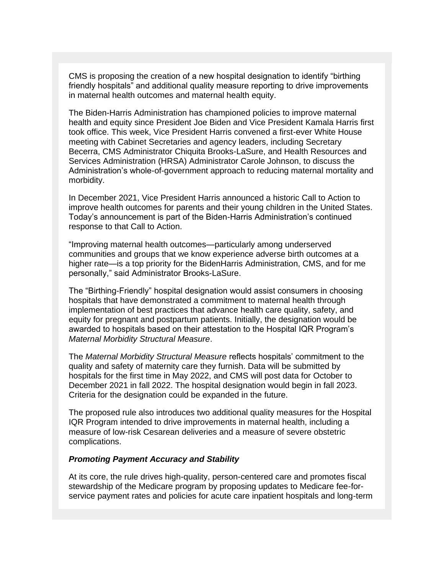CMS is proposing the creation of a new hospital designation to identify "birthing friendly hospitals" and additional quality measure reporting to drive improvements in maternal health outcomes and maternal health equity.

The Biden-Harris Administration has championed policies to improve maternal health and equity since President Joe Biden and Vice President Kamala Harris first took office. This week, Vice President Harris convened a first-ever White House meeting with Cabinet Secretaries and agency leaders, including Secretary Becerra, CMS Administrator Chiquita Brooks-LaSure, and Health Resources and Services Administration (HRSA) Administrator Carole Johnson, to discuss the Administration's whole-of-government approach to reducing maternal mortality and morbidity.

In December 2021, Vice President Harris announced a historic Call to Action to improve health outcomes for parents and their young children in the United States. Today's announcement is part of the Biden-Harris Administration's continued response to that Call to Action.

"Improving maternal health outcomes—particularly among underserved communities and groups that we know experience adverse birth outcomes at a higher rate—is a top priority for the BidenHarris Administration, CMS, and for me personally," said Administrator Brooks-LaSure.

The "Birthing-Friendly" hospital designation would assist consumers in choosing hospitals that have demonstrated a commitment to maternal health through implementation of best practices that advance health care quality, safety, and equity for pregnant and postpartum patients. Initially, the designation would be awarded to hospitals based on their attestation to the Hospital IQR Program's *Maternal Morbidity Structural Measure*.

The *Maternal Morbidity Structural Measure* reflects hospitals' commitment to the quality and safety of maternity care they furnish. Data will be submitted by hospitals for the first time in May 2022, and CMS will post data for October to December 2021 in fall 2022. The hospital designation would begin in fall 2023. Criteria for the designation could be expanded in the future.

The proposed rule also introduces two additional quality measures for the Hospital IQR Program intended to drive improvements in maternal health, including a measure of low-risk Cesarean deliveries and a measure of severe obstetric complications.

#### *Promoting Payment Accuracy and Stability*

At its core, the rule drives high-quality, person-centered care and promotes fiscal stewardship of the Medicare program by proposing updates to Medicare fee-forservice payment rates and policies for acute care inpatient hospitals and long-term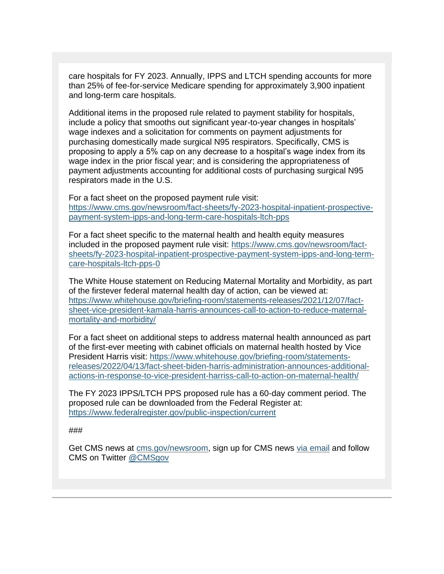care hospitals for FY 2023. Annually, IPPS and LTCH spending accounts for more than 25% of fee-for-service Medicare spending for approximately 3,900 inpatient and long-term care hospitals.

Additional items in the proposed rule related to payment stability for hospitals, include a policy that smooths out significant year-to-year changes in hospitals' wage indexes and a solicitation for comments on payment adjustments for purchasing domestically made surgical N95 respirators. Specifically, CMS is proposing to apply a 5% cap on any decrease to a hospital's wage index from its wage index in the prior fiscal year; and is considering the appropriateness of payment adjustments accounting for additional costs of purchasing surgical N95 respirators made in the U.S.

For a fact sheet on the proposed payment rule visit: [https://www.cms.gov/newsroom/fact-sheets/fy-2023-hospital-inpatient-prospective](https://lnks.gd/l/eyJhbGciOiJIUzI1NiJ9.eyJidWxsZXRpbl9saW5rX2lkIjoxMDEsInVyaSI6ImJwMjpjbGljayIsImJ1bGxldGluX2lkIjoiMjAyMjA0MTkuNTY2NDIzNDEiLCJ1cmwiOiJodHRwczovL2djYzAyLnNhZmVsaW5rcy5wcm90ZWN0aW9uLm91dGxvb2suY29tLz91cmw9aHR0cHMlM0ElMkYlMkZ3d3cuY21zLmdvdiUyRm5ld3Nyb29tJTJGZmFjdC1zaGVldHMlMkZmeS0yMDIzLWhvc3BpdGFsLWlucGF0aWVudC1wcm9zcGVjdGl2ZS1wYXltZW50LXN5c3RlbS1pcHBzLWFuZC1sb25nLXRlcm0tY2FyZS1ob3NwaXRhbHMtbHRjaC1wcHMmZGF0YT0wNCU3QzAxJTdDSmlsbC5EYXJsaW5nJTQwY21zLmhocy5nb3YlN0NkNDEzY2VhNzY4MjQ0ZjY5N2Y3ZjA4ZGEyMTg5YTEwYyU3Q2Q1OGFkZGVhNTA1MzRhODA4NDk5YmE0ZDk0NDkxMGRmJTdDMCU3QzAlN0M2Mzc4NTkxNzIyNTYzMjgzMTMlN0NVbmtub3duJTdDVFdGcGJHWnNiM2Q4ZXlKV0lqb2lNQzR3TGpBd01EQWlMQ0pRSWpvaVYybHVNeklpTENKQlRpSTZJazFoYVd3aUxDSlhWQ0k2TW4wJTNEJTdDMzAwMCZzZGF0YT1OeWp1S1pTWmw3JTJCU2x4SzRHaTFxZTlXQndmYnBRbG5nZ0cwbEZlZWI1VWMlM0QmcmVzZXJ2ZWQ9MCJ9.H_LgI-1_WbDZusVO-9R1FzOF9ZiKctX0BFWOOZ6OTG0/s/1259309421/br/130018250106-l)[payment-system-ipps-and-long-term-care-hospitals-ltch-pps](https://lnks.gd/l/eyJhbGciOiJIUzI1NiJ9.eyJidWxsZXRpbl9saW5rX2lkIjoxMDEsInVyaSI6ImJwMjpjbGljayIsImJ1bGxldGluX2lkIjoiMjAyMjA0MTkuNTY2NDIzNDEiLCJ1cmwiOiJodHRwczovL2djYzAyLnNhZmVsaW5rcy5wcm90ZWN0aW9uLm91dGxvb2suY29tLz91cmw9aHR0cHMlM0ElMkYlMkZ3d3cuY21zLmdvdiUyRm5ld3Nyb29tJTJGZmFjdC1zaGVldHMlMkZmeS0yMDIzLWhvc3BpdGFsLWlucGF0aWVudC1wcm9zcGVjdGl2ZS1wYXltZW50LXN5c3RlbS1pcHBzLWFuZC1sb25nLXRlcm0tY2FyZS1ob3NwaXRhbHMtbHRjaC1wcHMmZGF0YT0wNCU3QzAxJTdDSmlsbC5EYXJsaW5nJTQwY21zLmhocy5nb3YlN0NkNDEzY2VhNzY4MjQ0ZjY5N2Y3ZjA4ZGEyMTg5YTEwYyU3Q2Q1OGFkZGVhNTA1MzRhODA4NDk5YmE0ZDk0NDkxMGRmJTdDMCU3QzAlN0M2Mzc4NTkxNzIyNTYzMjgzMTMlN0NVbmtub3duJTdDVFdGcGJHWnNiM2Q4ZXlKV0lqb2lNQzR3TGpBd01EQWlMQ0pRSWpvaVYybHVNeklpTENKQlRpSTZJazFoYVd3aUxDSlhWQ0k2TW4wJTNEJTdDMzAwMCZzZGF0YT1OeWp1S1pTWmw3JTJCU2x4SzRHaTFxZTlXQndmYnBRbG5nZ0cwbEZlZWI1VWMlM0QmcmVzZXJ2ZWQ9MCJ9.H_LgI-1_WbDZusVO-9R1FzOF9ZiKctX0BFWOOZ6OTG0/s/1259309421/br/130018250106-l)

For a fact sheet specific to the maternal health and health equity measures included in the proposed payment rule visit: [https://www.cms.gov/newsroom/fact](https://lnks.gd/l/eyJhbGciOiJIUzI1NiJ9.eyJidWxsZXRpbl9saW5rX2lkIjoxMDIsInVyaSI6ImJwMjpjbGljayIsImJ1bGxldGluX2lkIjoiMjAyMjA0MTkuNTY2NDIzNDEiLCJ1cmwiOiJodHRwczovL2djYzAyLnNhZmVsaW5rcy5wcm90ZWN0aW9uLm91dGxvb2suY29tLz91cmw9aHR0cHMlM0ElMkYlMkZ3d3cuY21zLmdvdiUyRm5ld3Nyb29tJTJGZmFjdC1zaGVldHMlMkZmeS0yMDIzLWhvc3BpdGFsLWlucGF0aWVudC1wcm9zcGVjdGl2ZS1wYXltZW50LXN5c3RlbS1pcHBzLWFuZC1sb25nLXRlcm0tY2FyZS1ob3NwaXRhbHMtbHRjaC1wcHMtMCZkYXRhPTA0JTdDMDElN0NKaWxsLkRhcmxpbmclNDBjbXMuaGhzLmdvdiU3Q2Q0MTNjZWE3NjgyNDRmNjk3ZjdmMDhkYTIxODlhMTBjJTdDZDU4YWRkZWE1MDUzNGE4MDg0OTliYTRkOTQ0OTEwZGYlN0MwJTdDMCU3QzYzNzg1OTE3MjI1NjMyODMxMyU3Q1Vua25vd24lN0NUV0ZwYkdac2IzZDhleUpXSWpvaU1DNHdMakF3TURBaUxDSlFJam9pVjJsdU16SWlMQ0pCVGlJNklrMWhhV3dpTENKWFZDSTZNbjAlM0QlN0MzMDAwJnNkYXRhPXA1VmgwYm9JdG9EdFUxYmV3akJwMTAlMkZNYTllOEo3WVNQNTcweXI2OXYlMkJzJTNEJnJlc2VydmVkPTAifQ.ysZkpMQczozLVQUzDeVSs--l4gT1mwLfJ1kPlGcKF-U/s/1259309421/br/130018250106-l)[sheets/fy-2023-hospital-inpatient-prospective-payment-system-ipps-and-long-term](https://lnks.gd/l/eyJhbGciOiJIUzI1NiJ9.eyJidWxsZXRpbl9saW5rX2lkIjoxMDIsInVyaSI6ImJwMjpjbGljayIsImJ1bGxldGluX2lkIjoiMjAyMjA0MTkuNTY2NDIzNDEiLCJ1cmwiOiJodHRwczovL2djYzAyLnNhZmVsaW5rcy5wcm90ZWN0aW9uLm91dGxvb2suY29tLz91cmw9aHR0cHMlM0ElMkYlMkZ3d3cuY21zLmdvdiUyRm5ld3Nyb29tJTJGZmFjdC1zaGVldHMlMkZmeS0yMDIzLWhvc3BpdGFsLWlucGF0aWVudC1wcm9zcGVjdGl2ZS1wYXltZW50LXN5c3RlbS1pcHBzLWFuZC1sb25nLXRlcm0tY2FyZS1ob3NwaXRhbHMtbHRjaC1wcHMtMCZkYXRhPTA0JTdDMDElN0NKaWxsLkRhcmxpbmclNDBjbXMuaGhzLmdvdiU3Q2Q0MTNjZWE3NjgyNDRmNjk3ZjdmMDhkYTIxODlhMTBjJTdDZDU4YWRkZWE1MDUzNGE4MDg0OTliYTRkOTQ0OTEwZGYlN0MwJTdDMCU3QzYzNzg1OTE3MjI1NjMyODMxMyU3Q1Vua25vd24lN0NUV0ZwYkdac2IzZDhleUpXSWpvaU1DNHdMakF3TURBaUxDSlFJam9pVjJsdU16SWlMQ0pCVGlJNklrMWhhV3dpTENKWFZDSTZNbjAlM0QlN0MzMDAwJnNkYXRhPXA1VmgwYm9JdG9EdFUxYmV3akJwMTAlMkZNYTllOEo3WVNQNTcweXI2OXYlMkJzJTNEJnJlc2VydmVkPTAifQ.ysZkpMQczozLVQUzDeVSs--l4gT1mwLfJ1kPlGcKF-U/s/1259309421/br/130018250106-l)[care-hospitals-ltch-pps-0](https://lnks.gd/l/eyJhbGciOiJIUzI1NiJ9.eyJidWxsZXRpbl9saW5rX2lkIjoxMDIsInVyaSI6ImJwMjpjbGljayIsImJ1bGxldGluX2lkIjoiMjAyMjA0MTkuNTY2NDIzNDEiLCJ1cmwiOiJodHRwczovL2djYzAyLnNhZmVsaW5rcy5wcm90ZWN0aW9uLm91dGxvb2suY29tLz91cmw9aHR0cHMlM0ElMkYlMkZ3d3cuY21zLmdvdiUyRm5ld3Nyb29tJTJGZmFjdC1zaGVldHMlMkZmeS0yMDIzLWhvc3BpdGFsLWlucGF0aWVudC1wcm9zcGVjdGl2ZS1wYXltZW50LXN5c3RlbS1pcHBzLWFuZC1sb25nLXRlcm0tY2FyZS1ob3NwaXRhbHMtbHRjaC1wcHMtMCZkYXRhPTA0JTdDMDElN0NKaWxsLkRhcmxpbmclNDBjbXMuaGhzLmdvdiU3Q2Q0MTNjZWE3NjgyNDRmNjk3ZjdmMDhkYTIxODlhMTBjJTdDZDU4YWRkZWE1MDUzNGE4MDg0OTliYTRkOTQ0OTEwZGYlN0MwJTdDMCU3QzYzNzg1OTE3MjI1NjMyODMxMyU3Q1Vua25vd24lN0NUV0ZwYkdac2IzZDhleUpXSWpvaU1DNHdMakF3TURBaUxDSlFJam9pVjJsdU16SWlMQ0pCVGlJNklrMWhhV3dpTENKWFZDSTZNbjAlM0QlN0MzMDAwJnNkYXRhPXA1VmgwYm9JdG9EdFUxYmV3akJwMTAlMkZNYTllOEo3WVNQNTcweXI2OXYlMkJzJTNEJnJlc2VydmVkPTAifQ.ysZkpMQczozLVQUzDeVSs--l4gT1mwLfJ1kPlGcKF-U/s/1259309421/br/130018250106-l)

The White House statement on Reducing Maternal Mortality and Morbidity, as part of the firstever federal maternal health day of action, can be viewed at: [https://www.whitehouse.gov/briefing-room/statements-releases/2021/12/07/fact](https://lnks.gd/l/eyJhbGciOiJIUzI1NiJ9.eyJidWxsZXRpbl9saW5rX2lkIjoxMDMsInVyaSI6ImJwMjpjbGljayIsImJ1bGxldGluX2lkIjoiMjAyMjA0MTkuNTY2NDIzNDEiLCJ1cmwiOiJodHRwczovL2djYzAyLnNhZmVsaW5rcy5wcm90ZWN0aW9uLm91dGxvb2suY29tLz91cmw9aHR0cHMlM0ElMkYlMkZ3d3cud2hpdGVob3VzZS5nb3YlMkZicmllZmluZy1yb29tJTJGc3RhdGVtZW50cy1yZWxlYXNlcyUyRjIwMjElMkYxMiUyRjA3JTJGZmFjdC1zaGVldC12aWNlLXByZXNpZGVudC1rYW1hbGEtaGFycmlzLWFubm91bmNlcy1jYWxsLXRvLWFjdGlvbi10by1yZWR1Y2UtbWF0ZXJuYWwtbW9ydGFsaXR5LWFuZC1tb3JiaWRpdHklMkYmZGF0YT0wNCU3QzAxJTdDSmlsbC5EYXJsaW5nJTQwY21zLmhocy5nb3YlN0NkNDEzY2VhNzY4MjQ0ZjY5N2Y3ZjA4ZGEyMTg5YTEwYyU3Q2Q1OGFkZGVhNTA1MzRhODA4NDk5YmE0ZDk0NDkxMGRmJTdDMCU3QzAlN0M2Mzc4NTkxNzIyNTYzMjgzMTMlN0NVbmtub3duJTdDVFdGcGJHWnNiM2Q4ZXlKV0lqb2lNQzR3TGpBd01EQWlMQ0pRSWpvaVYybHVNeklpTENKQlRpSTZJazFoYVd3aUxDSlhWQ0k2TW4wJTNEJTdDMzAwMCZzZGF0YT1XdyUyQkxaZUxPWEpUdmwlMkY4MHFBNnpLbTB2dDY2dDNGWDd5aFU3TWR4WWU0OCUzRCZyZXNlcnZlZD0wIn0.8dTP7a_1Z-fjrrYhhL45FsZ0WSG3ziIAXHKXvfSFUis/s/1259309421/br/130018250106-l)[sheet-vice-president-kamala-harris-announces-call-to-action-to-reduce-maternal](https://lnks.gd/l/eyJhbGciOiJIUzI1NiJ9.eyJidWxsZXRpbl9saW5rX2lkIjoxMDMsInVyaSI6ImJwMjpjbGljayIsImJ1bGxldGluX2lkIjoiMjAyMjA0MTkuNTY2NDIzNDEiLCJ1cmwiOiJodHRwczovL2djYzAyLnNhZmVsaW5rcy5wcm90ZWN0aW9uLm91dGxvb2suY29tLz91cmw9aHR0cHMlM0ElMkYlMkZ3d3cud2hpdGVob3VzZS5nb3YlMkZicmllZmluZy1yb29tJTJGc3RhdGVtZW50cy1yZWxlYXNlcyUyRjIwMjElMkYxMiUyRjA3JTJGZmFjdC1zaGVldC12aWNlLXByZXNpZGVudC1rYW1hbGEtaGFycmlzLWFubm91bmNlcy1jYWxsLXRvLWFjdGlvbi10by1yZWR1Y2UtbWF0ZXJuYWwtbW9ydGFsaXR5LWFuZC1tb3JiaWRpdHklMkYmZGF0YT0wNCU3QzAxJTdDSmlsbC5EYXJsaW5nJTQwY21zLmhocy5nb3YlN0NkNDEzY2VhNzY4MjQ0ZjY5N2Y3ZjA4ZGEyMTg5YTEwYyU3Q2Q1OGFkZGVhNTA1MzRhODA4NDk5YmE0ZDk0NDkxMGRmJTdDMCU3QzAlN0M2Mzc4NTkxNzIyNTYzMjgzMTMlN0NVbmtub3duJTdDVFdGcGJHWnNiM2Q4ZXlKV0lqb2lNQzR3TGpBd01EQWlMQ0pRSWpvaVYybHVNeklpTENKQlRpSTZJazFoYVd3aUxDSlhWQ0k2TW4wJTNEJTdDMzAwMCZzZGF0YT1XdyUyQkxaZUxPWEpUdmwlMkY4MHFBNnpLbTB2dDY2dDNGWDd5aFU3TWR4WWU0OCUzRCZyZXNlcnZlZD0wIn0.8dTP7a_1Z-fjrrYhhL45FsZ0WSG3ziIAXHKXvfSFUis/s/1259309421/br/130018250106-l)[mortality-and-morbidity/](https://lnks.gd/l/eyJhbGciOiJIUzI1NiJ9.eyJidWxsZXRpbl9saW5rX2lkIjoxMDMsInVyaSI6ImJwMjpjbGljayIsImJ1bGxldGluX2lkIjoiMjAyMjA0MTkuNTY2NDIzNDEiLCJ1cmwiOiJodHRwczovL2djYzAyLnNhZmVsaW5rcy5wcm90ZWN0aW9uLm91dGxvb2suY29tLz91cmw9aHR0cHMlM0ElMkYlMkZ3d3cud2hpdGVob3VzZS5nb3YlMkZicmllZmluZy1yb29tJTJGc3RhdGVtZW50cy1yZWxlYXNlcyUyRjIwMjElMkYxMiUyRjA3JTJGZmFjdC1zaGVldC12aWNlLXByZXNpZGVudC1rYW1hbGEtaGFycmlzLWFubm91bmNlcy1jYWxsLXRvLWFjdGlvbi10by1yZWR1Y2UtbWF0ZXJuYWwtbW9ydGFsaXR5LWFuZC1tb3JiaWRpdHklMkYmZGF0YT0wNCU3QzAxJTdDSmlsbC5EYXJsaW5nJTQwY21zLmhocy5nb3YlN0NkNDEzY2VhNzY4MjQ0ZjY5N2Y3ZjA4ZGEyMTg5YTEwYyU3Q2Q1OGFkZGVhNTA1MzRhODA4NDk5YmE0ZDk0NDkxMGRmJTdDMCU3QzAlN0M2Mzc4NTkxNzIyNTYzMjgzMTMlN0NVbmtub3duJTdDVFdGcGJHWnNiM2Q4ZXlKV0lqb2lNQzR3TGpBd01EQWlMQ0pRSWpvaVYybHVNeklpTENKQlRpSTZJazFoYVd3aUxDSlhWQ0k2TW4wJTNEJTdDMzAwMCZzZGF0YT1XdyUyQkxaZUxPWEpUdmwlMkY4MHFBNnpLbTB2dDY2dDNGWDd5aFU3TWR4WWU0OCUzRCZyZXNlcnZlZD0wIn0.8dTP7a_1Z-fjrrYhhL45FsZ0WSG3ziIAXHKXvfSFUis/s/1259309421/br/130018250106-l)

For a fact sheet on additional steps to address maternal health announced as part of the first-ever meeting with cabinet officials on maternal health hosted by Vice President Harris visit: [https://www.whitehouse.gov/briefing-room/statements](https://lnks.gd/l/eyJhbGciOiJIUzI1NiJ9.eyJidWxsZXRpbl9saW5rX2lkIjoxMDQsInVyaSI6ImJwMjpjbGljayIsImJ1bGxldGluX2lkIjoiMjAyMjA0MTkuNTY2NDIzNDEiLCJ1cmwiOiJodHRwczovL2djYzAyLnNhZmVsaW5rcy5wcm90ZWN0aW9uLm91dGxvb2suY29tLz91cmw9aHR0cHMlM0ElMkYlMkZ3d3cud2hpdGVob3VzZS5nb3YlMkZicmllZmluZy1yb29tJTJGc3RhdGVtZW50cy1yZWxlYXNlcyUyRjIwMjIlMkYwNCUyRjEzJTJGZmFjdC1zaGVldC1iaWRlbi1oYXJyaXMtYWRtaW5pc3RyYXRpb24tYW5ub3VuY2VzLWFkZGl0aW9uYWwtYWN0aW9ucy1pbi1yZXNwb25zZS10by12aWNlLXByZXNpZGVudC1oYXJyaXNzLWNhbGwtdG8tYWN0aW9uLW9uLW1hdGVybmFsLWhlYWx0aCUyRiZkYXRhPTA0JTdDMDElN0NKaWxsLkRhcmxpbmclNDBjbXMuaGhzLmdvdiU3Q2Q0MTNjZWE3NjgyNDRmNjk3ZjdmMDhkYTIxODlhMTBjJTdDZDU4YWRkZWE1MDUzNGE4MDg0OTliYTRkOTQ0OTEwZGYlN0MwJTdDMCU3QzYzNzg1OTE3MjI1NjMyODMxMyU3Q1Vua25vd24lN0NUV0ZwYkdac2IzZDhleUpXSWpvaU1DNHdMakF3TURBaUxDSlFJam9pVjJsdU16SWlMQ0pCVGlJNklrMWhhV3dpTENKWFZDSTZNbjAlM0QlN0MzMDAwJnNkYXRhPVI1eUh4Qk1VV255djJ2R1VYMzFzckFGQUU0T01ZMlVrbTdYU0hrU0t3NFElM0QmcmVzZXJ2ZWQ9MCJ9.S6waGYUzeg5wVLlcUWMflalJ0GvgkS5pfCHMExBU9Dg/s/1259309421/br/130018250106-l)[releases/2022/04/13/fact-sheet-biden-harris-administration-announces-additional](https://lnks.gd/l/eyJhbGciOiJIUzI1NiJ9.eyJidWxsZXRpbl9saW5rX2lkIjoxMDQsInVyaSI6ImJwMjpjbGljayIsImJ1bGxldGluX2lkIjoiMjAyMjA0MTkuNTY2NDIzNDEiLCJ1cmwiOiJodHRwczovL2djYzAyLnNhZmVsaW5rcy5wcm90ZWN0aW9uLm91dGxvb2suY29tLz91cmw9aHR0cHMlM0ElMkYlMkZ3d3cud2hpdGVob3VzZS5nb3YlMkZicmllZmluZy1yb29tJTJGc3RhdGVtZW50cy1yZWxlYXNlcyUyRjIwMjIlMkYwNCUyRjEzJTJGZmFjdC1zaGVldC1iaWRlbi1oYXJyaXMtYWRtaW5pc3RyYXRpb24tYW5ub3VuY2VzLWFkZGl0aW9uYWwtYWN0aW9ucy1pbi1yZXNwb25zZS10by12aWNlLXByZXNpZGVudC1oYXJyaXNzLWNhbGwtdG8tYWN0aW9uLW9uLW1hdGVybmFsLWhlYWx0aCUyRiZkYXRhPTA0JTdDMDElN0NKaWxsLkRhcmxpbmclNDBjbXMuaGhzLmdvdiU3Q2Q0MTNjZWE3NjgyNDRmNjk3ZjdmMDhkYTIxODlhMTBjJTdDZDU4YWRkZWE1MDUzNGE4MDg0OTliYTRkOTQ0OTEwZGYlN0MwJTdDMCU3QzYzNzg1OTE3MjI1NjMyODMxMyU3Q1Vua25vd24lN0NUV0ZwYkdac2IzZDhleUpXSWpvaU1DNHdMakF3TURBaUxDSlFJam9pVjJsdU16SWlMQ0pCVGlJNklrMWhhV3dpTENKWFZDSTZNbjAlM0QlN0MzMDAwJnNkYXRhPVI1eUh4Qk1VV255djJ2R1VYMzFzckFGQUU0T01ZMlVrbTdYU0hrU0t3NFElM0QmcmVzZXJ2ZWQ9MCJ9.S6waGYUzeg5wVLlcUWMflalJ0GvgkS5pfCHMExBU9Dg/s/1259309421/br/130018250106-l)[actions-in-response-to-vice-president-harriss-call-to-action-on-maternal-health/](https://lnks.gd/l/eyJhbGciOiJIUzI1NiJ9.eyJidWxsZXRpbl9saW5rX2lkIjoxMDQsInVyaSI6ImJwMjpjbGljayIsImJ1bGxldGluX2lkIjoiMjAyMjA0MTkuNTY2NDIzNDEiLCJ1cmwiOiJodHRwczovL2djYzAyLnNhZmVsaW5rcy5wcm90ZWN0aW9uLm91dGxvb2suY29tLz91cmw9aHR0cHMlM0ElMkYlMkZ3d3cud2hpdGVob3VzZS5nb3YlMkZicmllZmluZy1yb29tJTJGc3RhdGVtZW50cy1yZWxlYXNlcyUyRjIwMjIlMkYwNCUyRjEzJTJGZmFjdC1zaGVldC1iaWRlbi1oYXJyaXMtYWRtaW5pc3RyYXRpb24tYW5ub3VuY2VzLWFkZGl0aW9uYWwtYWN0aW9ucy1pbi1yZXNwb25zZS10by12aWNlLXByZXNpZGVudC1oYXJyaXNzLWNhbGwtdG8tYWN0aW9uLW9uLW1hdGVybmFsLWhlYWx0aCUyRiZkYXRhPTA0JTdDMDElN0NKaWxsLkRhcmxpbmclNDBjbXMuaGhzLmdvdiU3Q2Q0MTNjZWE3NjgyNDRmNjk3ZjdmMDhkYTIxODlhMTBjJTdDZDU4YWRkZWE1MDUzNGE4MDg0OTliYTRkOTQ0OTEwZGYlN0MwJTdDMCU3QzYzNzg1OTE3MjI1NjMyODMxMyU3Q1Vua25vd24lN0NUV0ZwYkdac2IzZDhleUpXSWpvaU1DNHdMakF3TURBaUxDSlFJam9pVjJsdU16SWlMQ0pCVGlJNklrMWhhV3dpTENKWFZDSTZNbjAlM0QlN0MzMDAwJnNkYXRhPVI1eUh4Qk1VV255djJ2R1VYMzFzckFGQUU0T01ZMlVrbTdYU0hrU0t3NFElM0QmcmVzZXJ2ZWQ9MCJ9.S6waGYUzeg5wVLlcUWMflalJ0GvgkS5pfCHMExBU9Dg/s/1259309421/br/130018250106-l)

The FY 2023 IPPS/LTCH PPS proposed rule has a 60-day comment period. The proposed rule can be downloaded from the Federal Register at: [https://www.federalregister.gov/public-inspection/current](https://lnks.gd/l/eyJhbGciOiJIUzI1NiJ9.eyJidWxsZXRpbl9saW5rX2lkIjoxMDUsInVyaSI6ImJwMjpjbGljayIsImJ1bGxldGluX2lkIjoiMjAyMjA0MTkuNTY2NDIzNDEiLCJ1cmwiOiJodHRwczovL2djYzAyLnNhZmVsaW5rcy5wcm90ZWN0aW9uLm91dGxvb2suY29tLz91cmw9aHR0cHMlM0ElMkYlMkZ3d3cuZmVkZXJhbHJlZ2lzdGVyLmdvdiUyRnB1YmxpYy1pbnNwZWN0aW9uJTJGY3VycmVudCZkYXRhPTA0JTdDMDElN0NKaWxsLkRhcmxpbmclNDBjbXMuaGhzLmdvdiU3Q2Q0MTNjZWE3NjgyNDRmNjk3ZjdmMDhkYTIxODlhMTBjJTdDZDU4YWRkZWE1MDUzNGE4MDg0OTliYTRkOTQ0OTEwZGYlN0MwJTdDMCU3QzYzNzg1OTE3MjI1NjMyODMxMyU3Q1Vua25vd24lN0NUV0ZwYkdac2IzZDhleUpXSWpvaU1DNHdMakF3TURBaUxDSlFJam9pVjJsdU16SWlMQ0pCVGlJNklrMWhhV3dpTENKWFZDSTZNbjAlM0QlN0MzMDAwJnNkYXRhPXZIYUI4aTVITDl1dlpqc0huZ0Fra0MlMkJCNlp4Nlk4ZkpicnIlMkJWcWJqVXg4JTNEJnJlc2VydmVkPTAifQ.GJUiWJV-r3cuxsAhm2CEaudeMCLKUdMfmStOkSRh7HM/s/1259309421/br/130018250106-l)

###

Get CMS news at [cms.gov/newsroom,](https://lnks.gd/l/eyJhbGciOiJIUzI1NiJ9.eyJidWxsZXRpbl9saW5rX2lkIjoxMDYsInVyaSI6ImJwMjpjbGljayIsImJ1bGxldGluX2lkIjoiMjAyMjA0MTkuNTY2NDIzNDEiLCJ1cmwiOiJodHRwczovL2djYzAyLnNhZmVsaW5rcy5wcm90ZWN0aW9uLm91dGxvb2suY29tLz91cmw9aHR0cHMlM0ElMkYlMkZ3d3cuY21zLmdvdiUyRm5ld3Nyb29tJmRhdGE9MDQlN0MwMSU3Q0ppbGwuRGFybGluZyU0MGNtcy5oaHMuZ292JTdDZDQxM2NlYTc2ODI0NGY2OTdmN2YwOGRhMjE4OWExMGMlN0NkNThhZGRlYTUwNTM0YTgwODQ5OWJhNGQ5NDQ5MTBkZiU3QzAlN0MwJTdDNjM3ODU5MTcyMjU2MzI4MzEzJTdDVW5rbm93biU3Q1RXRnBiR1pzYjNkOGV5SldJam9pTUM0d0xqQXdNREFpTENKUUlqb2lWMmx1TXpJaUxDSkJUaUk2SWsxaGFXd2lMQ0pYVkNJNk1uMCUzRCU3QzMwMDAmc2RhdGE9Y2Zib2s5QWtXTkR3NlZjcUVnV0h5M0FVUXRZYU43cmJzcjVYYWY3Mkd4byUzRCZyZXNlcnZlZD0wIn0.VLpDc-_lQygG_vQ9D1Vupn5DapIw5f9hLoses_zt_-Q/s/1259309421/br/130018250106-l) sign up for CMS news [via email](https://lnks.gd/l/eyJhbGciOiJIUzI1NiJ9.eyJidWxsZXRpbl9saW5rX2lkIjoxMDcsInVyaSI6ImJwMjpjbGljayIsImJ1bGxldGluX2lkIjoiMjAyMjA0MTkuNTY2NDIzNDEiLCJ1cmwiOiJodHRwczovL2djYzAyLnNhZmVsaW5rcy5wcm90ZWN0aW9uLm91dGxvb2suY29tLz91cmw9aHR0cHMlM0ElMkYlMkZwdWJsaWMuZ292ZGVsaXZlcnkuY29tJTJGYWNjb3VudHMlMkZVU0NNUyUyRnN1YnNjcmliZXIlMkZuZXclM0Z0b3BpY19pZCUzRFVTQ01TXzYxMCZkYXRhPTA0JTdDMDElN0NKaWxsLkRhcmxpbmclNDBjbXMuaGhzLmdvdiU3Q2Q0MTNjZWE3NjgyNDRmNjk3ZjdmMDhkYTIxODlhMTBjJTdDZDU4YWRkZWE1MDUzNGE4MDg0OTliYTRkOTQ0OTEwZGYlN0MwJTdDMCU3QzYzNzg1OTE3MjI1NjMyODMxMyU3Q1Vua25vd24lN0NUV0ZwYkdac2IzZDhleUpXSWpvaU1DNHdMakF3TURBaUxDSlFJam9pVjJsdU16SWlMQ0pCVGlJNklrMWhhV3dpTENKWFZDSTZNbjAlM0QlN0MzMDAwJnNkYXRhPXlmQlBLemF0elhNT2xUdHhndVNyV0s3Z1d3N0FJZWFLV0JlJTJGR3J6VnNUYyUzRCZyZXNlcnZlZD0wIn0.S4CV_pCYwrNOWcssGi2fiVehL53lHwlJq5-C5N5cSRo/s/1259309421/br/130018250106-l) and follow CMS on Twitter [@CMSgov](https://lnks.gd/l/eyJhbGciOiJIUzI1NiJ9.eyJidWxsZXRpbl9saW5rX2lkIjoxMDgsInVyaSI6ImJwMjpjbGljayIsImJ1bGxldGluX2lkIjoiMjAyMjA0MTkuNTY2NDIzNDEiLCJ1cmwiOiJodHRwczovL2djYzAyLnNhZmVsaW5rcy5wcm90ZWN0aW9uLm91dGxvb2suY29tLz91cmw9aHR0cHMlM0ElMkYlMkZ0d2l0dGVyLmNvbSUyRkNNU0dvdiZkYXRhPTA0JTdDMDElN0NKaWxsLkRhcmxpbmclNDBjbXMuaGhzLmdvdiU3Q2Q0MTNjZWE3NjgyNDRmNjk3ZjdmMDhkYTIxODlhMTBjJTdDZDU4YWRkZWE1MDUzNGE4MDg0OTliYTRkOTQ0OTEwZGYlN0MwJTdDMCU3QzYzNzg1OTE3MjI1NjMyODMxMyU3Q1Vua25vd24lN0NUV0ZwYkdac2IzZDhleUpXSWpvaU1DNHdMakF3TURBaUxDSlFJam9pVjJsdU16SWlMQ0pCVGlJNklrMWhhV3dpTENKWFZDSTZNbjAlM0QlN0MzMDAwJnNkYXRhPTU1c2ZmbkVocUZzaDNDU01MRnhkb0lOV0ZiU0tadnMlMkZXTzklMkZzYiUyRmZab3MlM0QmcmVzZXJ2ZWQ9MCJ9.gaG6zenZJiriU4ROlnmE4_kmJ0O54LYmXeunWSNTwwU/s/1259309421/br/130018250106-l)